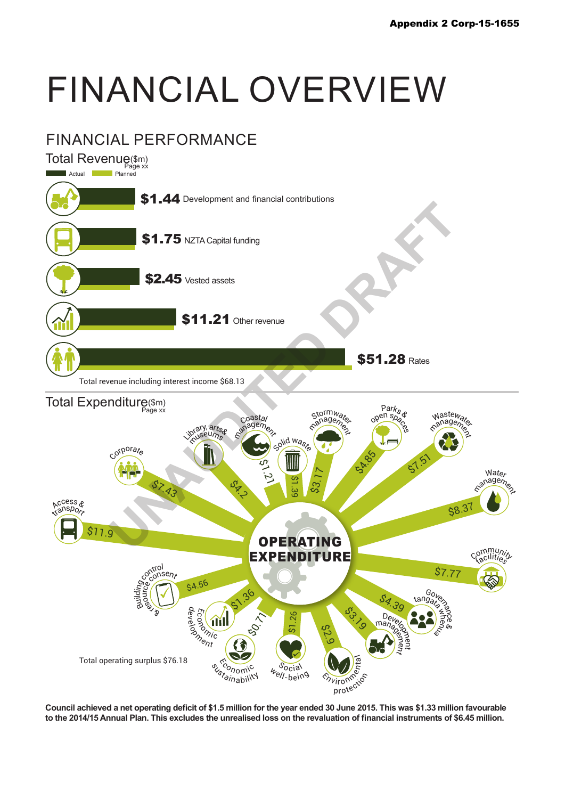## FINANCIAL OVERVIEW



**Council achieved a net operating deficit of \$1.5 million for the year ended 30 June 2015. This was \$1.33 million favourable to the 2014/15 Annual Plan. This excludes the unrealised loss on the revaluation of financial instruments of \$6.45 million.**